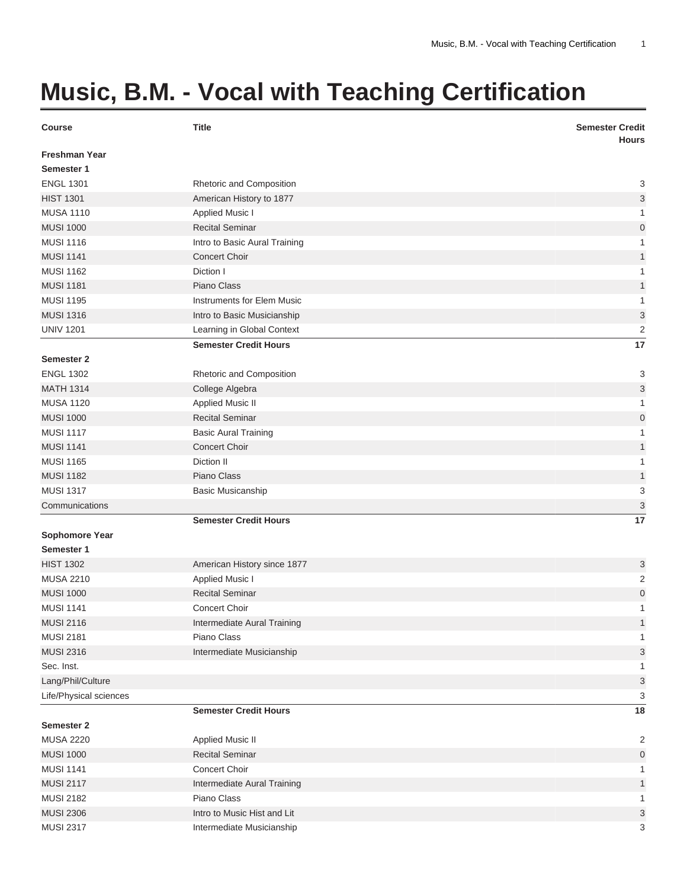## **Music, B.M. - Vocal with Teaching Certification**

| <b>Course</b>          | <b>Title</b>                      | <b>Semester Credit</b><br><b>Hours</b> |
|------------------------|-----------------------------------|----------------------------------------|
| <b>Freshman Year</b>   |                                   |                                        |
| Semester 1             |                                   |                                        |
| <b>ENGL 1301</b>       | Rhetoric and Composition          | 3                                      |
| <b>HIST 1301</b>       | American History to 1877          | 3                                      |
| <b>MUSA 1110</b>       | <b>Applied Music I</b>            | 1                                      |
| <b>MUSI 1000</b>       | <b>Recital Seminar</b>            | $\overline{0}$                         |
| <b>MUSI 1116</b>       | Intro to Basic Aural Training     | 1                                      |
| <b>MUSI 1141</b>       | <b>Concert Choir</b>              | 1                                      |
| <b>MUSI 1162</b>       | Diction I                         | 1                                      |
| <b>MUSI 1181</b>       | Piano Class                       | 1                                      |
| <b>MUSI 1195</b>       | <b>Instruments for Elem Music</b> | 1                                      |
| <b>MUSI 1316</b>       | Intro to Basic Musicianship       | 3                                      |
| <b>UNIV 1201</b>       | Learning in Global Context        | $\overline{c}$                         |
|                        | <b>Semester Credit Hours</b>      | 17                                     |
| <b>Semester 2</b>      |                                   |                                        |
| <b>ENGL 1302</b>       | Rhetoric and Composition          | 3                                      |
| <b>MATH 1314</b>       | College Algebra                   | 3                                      |
| <b>MUSA 1120</b>       | <b>Applied Music II</b>           | 1                                      |
| <b>MUSI 1000</b>       | <b>Recital Seminar</b>            | $\mathbf 0$                            |
| <b>MUSI 1117</b>       | <b>Basic Aural Training</b>       | 1                                      |
| <b>MUSI 1141</b>       | <b>Concert Choir</b>              | 1                                      |
| <b>MUSI 1165</b>       | Diction II                        | 1                                      |
| <b>MUSI 1182</b>       | Piano Class                       | $\mathbf{1}$                           |
| <b>MUSI 1317</b>       | <b>Basic Musicanship</b>          | 3                                      |
| Communications         |                                   | 3                                      |
|                        | <b>Semester Credit Hours</b>      | 17                                     |
| <b>Sophomore Year</b>  |                                   |                                        |
| Semester 1             |                                   |                                        |
| <b>HIST 1302</b>       | American History since 1877       | 3                                      |
| <b>MUSA 2210</b>       | Applied Music I                   | $\overline{c}$                         |
| <b>MUSI 1000</b>       | <b>Recital Seminar</b>            | $\mathbf 0$                            |
| <b>MUSI 1141</b>       | <b>Concert Choir</b>              | 1                                      |
| <b>MUSI 2116</b>       | Intermediate Aural Training       | $\mathbf{1}$                           |
| <b>MUSI 2181</b>       | Piano Class                       | 1                                      |
| <b>MUSI 2316</b>       | Intermediate Musicianship         | 3                                      |
| Sec. Inst.             |                                   | 1                                      |
| Lang/Phil/Culture      |                                   | 3                                      |
| Life/Physical sciences |                                   | 3                                      |
|                        | <b>Semester Credit Hours</b>      | 18                                     |
| Semester 2             |                                   |                                        |
| <b>MUSA 2220</b>       | <b>Applied Music II</b>           | $\overline{\mathbf{c}}$                |
| <b>MUSI 1000</b>       | <b>Recital Seminar</b>            | $\mathbf 0$                            |
| <b>MUSI 1141</b>       | Concert Choir                     | 1                                      |
| <b>MUSI 2117</b>       | Intermediate Aural Training       | $\mathbf{1}$                           |
| <b>MUSI 2182</b>       | Piano Class                       | 1                                      |
| <b>MUSI 2306</b>       | Intro to Music Hist and Lit       | 3                                      |
| <b>MUSI 2317</b>       | Intermediate Musicianship         | 3                                      |
|                        |                                   |                                        |